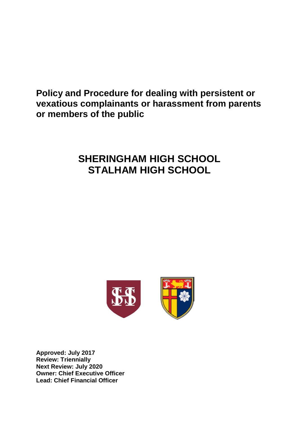**Policy and Procedure for dealing with persistent or vexatious complainants or harassment from parents or members of the public**

# **SHERINGHAM HIGH SCHOOL STALHAM HIGH SCHOOL**



**Approved: July 2017 Review: Triennially Next Review: July 2020 Owner: Chief Executive Officer Lead: Chief Financial Officer**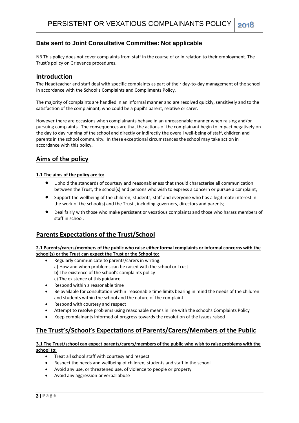### **Date sent to Joint Consultative Committee: Not applicable**

NB This policy does not cover complaints from staff in the course of or in relation to their employment. The Trust's policy on Grievance procedures.

#### **Introduction**

The Headteacher and staff deal with specific complaints as part of their day-to-day management of the school in accordance with the School's Complaints and Compliments Policy.

The majority of complaints are handled in an informal manner and are resolved quickly, sensitively and to the satisfaction of the complainant, who could be a pupil's parent, relative or carer.

However there are occasions when complainants behave in an unreasonable manner when raising and/or pursuing complaints. The consequences are that the actions of the complainant begin to impact negatively on the day to day running of the school and directly or indirectly the overall well-being of staff, children and parents in the school community. In these exceptional circumstances the school may take action in accordance with this policy.

## **Aims of the policy**

#### **1.1 The aims of the policy are to:**

- Uphold the standards of courtesy and reasonableness that should characterise all communication between the Trust, the school(s) and persons who wish to express a concern or pursue a complaint;
- Support the wellbeing of the children, students, staff and everyone who has a legitimate interest in the work of the school(s) and the Trust , including governors, directors and parents;
- Deal fairly with those who make persistent or vexatious complaints and those who harass members of staff in school.

## **Parents Expectations of the Trust/School**

**2.1 Parents/carers/members of the public who raise either formal complaints or informal concerns with the school(s) or the Trust can expect the Trust or the School to:**

- Regularly communicate to parents/carers in writing: a) How and when problems can be raised with the school or Trust b) The existence of the school's complaints policy c) The existence of this guidance
- Respond within a reasonable time
- Be available for consultation within reasonable time limits bearing in mind the needs of the children and students within the school and the nature of the complaint
- Respond with courtesy and respect
- Attempt to resolve problems using reasonable means in line with the school's Complaints Policy
- Keep complainants informed of progress towards the resolution of the issues raised

## **The Trust's/School's Expectations of Parents/Carers/Members of the Public**

#### **3.1 The Trust/school can expect parents/carers/members of the public who wish to raise problems with the school to:**

- Treat all school staff with courtesy and respect
- Respect the needs and wellbeing of children, students and staff in the school
- Avoid any use, or threatened use, of violence to people or property
- Avoid any aggression or verbal abuse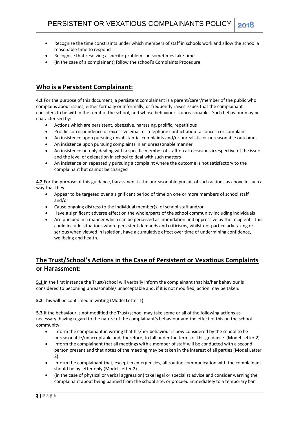- Recognise the time constraints under which members of staff in schools work and allow the school a reasonable time to respond
- Recognise that resolving a specific problem can sometimes take time
- (In the case of a complainant) follow the school's Complaints Procedure.

# **Who is a Persistent Complainant:**

**4.1** For the purpose of this document, a persistent complainant is a parent/carer/member of the public who complains about issues, either formally or informally, or frequently raises issues that the complainant considers to be within the remit of the school, and whose behaviour is unreasonable. Such behaviour may be characterised by:

- Actions which are persistent, obsessive, harassing, prolific, repetitious
- Prolific correspondence or excessive email or telephone contact about a concern or complaint
- An insistence upon pursuing unsubstantial complaints and/or unrealistic or unreasonable outcomes
- An insistence upon pursuing complaints in an unreasonable manner
- An insistence on only dealing with a specific member of staff on all occasions irrespective of the issue and the level of delegation in school to deal with such matters
- An insistence on repeatedly pursuing a complaint where the outcome is not satisfactory to the complainant but cannot be changed

**4.2** For the purpose of this guidance, harassment is the unreasonable pursuit of such actions as above in such a way that they:

- Appear to be targeted over a significant period of time on one or more members of school staff and/or
- Cause ongoing distress to the individual member(s) of school staff and/or
- Have a significant adverse effect on the whole/parts of the school community including individuals
- Are pursued in a manner which can be perceived as intimidation and oppressive by the recipient. This could include situations where persistent demands and criticisms, whilst not particularly taxing or serious when viewed in isolation, have a cumulative effect over time of undermining confidence, wellbeing and health.

# **The Trust/School's Actions in the Case of Persistent or Vexatious Complaints or Harassment:**

**5.1** In the first instance the Trust/school will verbally inform the complainant that his/her behaviour is considered to becoming unreasonable/ unacceptable and, if it is not modified, action may be taken.

**5.2** This will be confirmed in writing (Model Letter 1)

**5.3** If the behaviour is not modified the Trust/school may take some or all of the following actions as necessary, having regard to the nature of the complainant's behaviour and the effect of this on the school community:

- Inform the complainant in writing that his/her behaviour is now considered by the school to be unreasonable/unacceptable and, therefore, to fall under the terms of this guidance. (Model Letter 2)
- Inform the complainant that all meetings with a member of staff will be conducted with a second person present and that notes of the meeting may be taken in the interest of all parties (Model Letter 2)
- Inform the complainant that, except in emergencies, all routine communication with the complainant should be by letter only (Model Letter 2)
- (in the case of physical or verbal aggression) take legal or specialist advice and consider warning the complainant about being banned from the school site; or proceed immediately to a temporary ban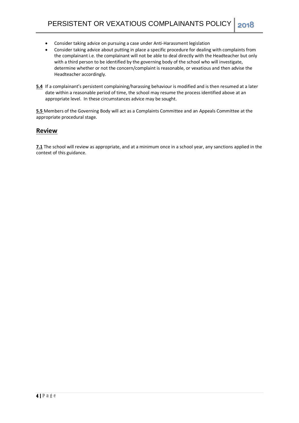- Consider taking advice on pursuing a case under Anti-Harassment legislation
- Consider taking advice about putting in place a specific procedure for dealing with complaints from the complainant i.e. the complainant will not be able to deal directly with the Headteacher but only with a third person to be identified by the governing body of the school who will investigate, determine whether or not the concern/complaint is reasonable, or vexatious and then advise the Headteacher accordingly.
- **5.4** If a complainant's persistent complaining/harassing behaviour is modified and is then resumed at a later date within a reasonable period of time, the school may resume the process identified above at an appropriate level. In these circumstances advice may be sought.

**5.5** Members of the Governing Body will act as a Complaints Committee and an Appeals Committee at the appropriate procedural stage.

#### **Review**

**7.1** The school will review as appropriate, and at a minimum once in a school year, any sanctions applied in the context of this guidance.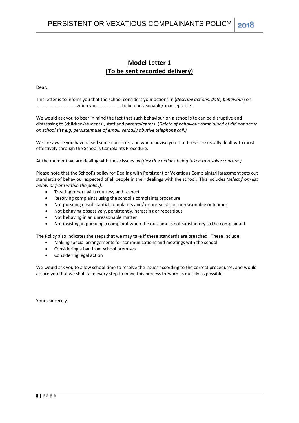# **Model Letter 1 (To be sent recorded delivery)**

Dear...

This letter is to inform you that the school considers your actions in (*describe actions, date, behaviour*) on ................................when you....................to be unreasonable/unacceptable.

We would ask you to bear in mind the fact that such behaviour on a school site can be disruptive and distressing to (children/students), staff and parents/carers. (*Delete of behaviour complained of did not occur on school site e.g. persistent use of email, verbally abusive telephone call.)*

We are aware you have raised some concerns, and would advise you that these are usually dealt with most effectively through the School's Complaints Procedure.

At the moment we are dealing with these issues by (*describe actions being taken to resolve concern.)*

Please note that the School's policy for Dealing with Persistent or Vexatious Complaints/Harassment sets out standards of behaviour expected of all people in their dealings with the school. This includes *(select from list below or from within the policy)*:

- Treating others with courtesy and respect
- Resolving complaints using the school's complaints procedure
- Not pursuing unsubstantial complaints and/ or unrealistic or unreasonable outcomes
- Not behaving obsessively, persistently, harassing or repetitious
- Not behaving in an unreasonable matter
- Not insisting in pursuing a complaint when the outcome is not satisfactory to the complainant

The Policy also indicates the steps that we may take if these standards are breached. These include:

- Making special arrangements for communications and meetings with the school
- Considering a ban from school premises
- Considering legal action

We would ask you to allow school time to resolve the issues according to the correct procedures, and would assure you that we shall take every step to move this process forward as quickly as possible.

Yours sincerely